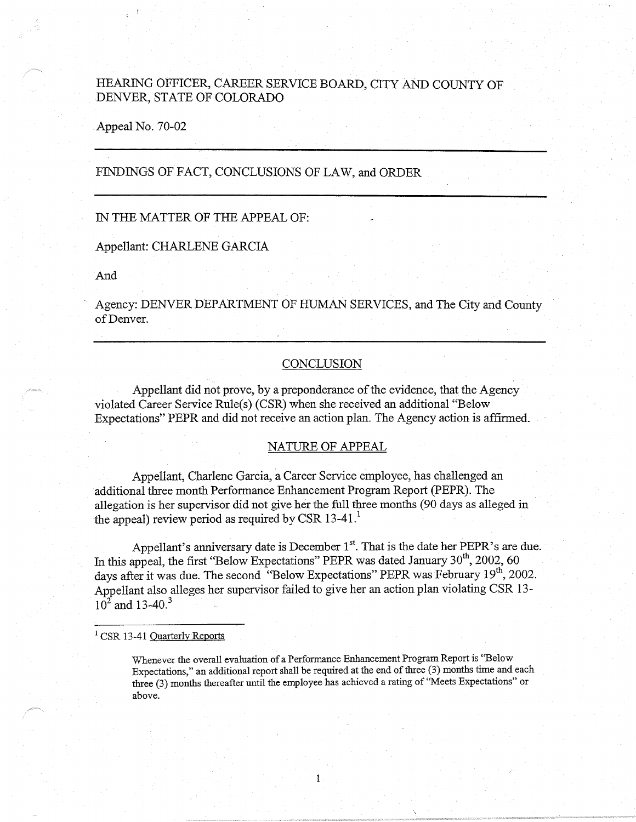# HEARING OFFICER, CAREER SERVICE BOARD, CITY AND COUNTY OF DENVER, STATE OF COLORADO

Appeal No. 70-02

# FINDINGS OF FACT, CONCLUSIONS OF LAW, and ORDER

# IN THE MATTER OF THE APPEAL OF:

### Appellant: CHARLENE GARCIA

And

Agency: DENVER DEPARTMENT OF HUMAN SERVICES, and The City and County of Denver.

### **CONCLUSION**

Appellant did not prove, by a preponderance of the evidence, that the Agency violated Career Service Rule(s) (CSR) when she received an additional "Below Expectations" PEPR and did not receive an action plan. The Agency action is affirmed.

## NATURE OF APPEAL

Appellant, Charlene Garcia, a Career Service employee, has challenged an additional three month Performance Enhancement Program Report (PEPR). The allegation is her supervisor did not give her the full three months (90 days as alleged in the appeal) review period as required by CSR 13-41.<sup>1</sup>

Appellant's anniversary date is December  $1<sup>st</sup>$ . That is the date her PEPR's are due. In this appeal, the first "Below Expectations" PEPR was dated January  $30^{th}$ , 2002, 60 days after it was due. The second "Below Expectations" PEPR was February 19<sup>th</sup>, 2002. Appellant also alleges her supervisor failed to give her an action plan violating CSR 13-  $10^2$  and 13-40.<sup>3</sup>

<sup>1</sup> CSR 13-41 Ouarterly Reports

Whenever the overall evaluation of a Performance Enhancement Program Report is "Below Expectations," an additional report shall be required at the end of three (3) months time and each three (3) months thereafter until the employee has achieved a rating of "Meets Expectations" or above.

1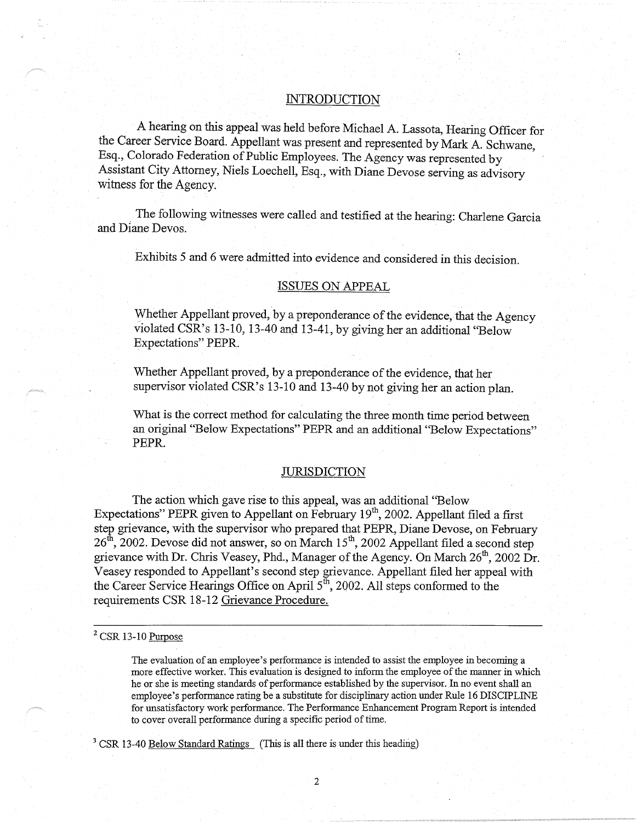# **INTRODUCTION**

A hearing on this appeal was held before Michael A. Lassota, Hearing Officer for the Career Service Board. Appellant was present and represented by Mark A. Schwane, Esq., Colorado Federation of Public Employees. The Agency was represented by Assistant City Attorney, Niels Loechell, Esq., with Diane Devose serving as advisory witness for the Agency.

The following witnesses were called and testified at the hearing: Charlene Garcia and Diane Devos.

Exhibits 5 and 6 were admitted into evidence and considered in this decision.

## ISSUES ON APPEAL

Whether Appellant proved, by a preponderance of the evidence, that the Agency violated CSR's 13-10, 13-40 and 13-41, by giving her an additional "Below Expectations" PEPR.

Whether Appellant proved, by a preponderance of the evidence, that her supervisor violated CSR's 13-10 and 13-40 by not giving her an action plan.

What is the correct method for calculating the three month time period between an original "Below Expectations" PEPR and an additional "Below Expectations" PEPR.

### **JURISDICTION**

The action which gave rise to this appeal, was an additional ''Below Expectations" PEPR given to Appellant on February  $19<sup>th</sup>$ , 2002. Appellant filed a first step grievance, with the supervisor who prepared that PEPR, Diane Devose, on February  $26<sup>th</sup>$ , 2002. Devose did not answer, so on March 15<sup>th</sup>, 2002 Appellant filed a second step grievance with Dr. Chris Veasey, Phd., Manager of the Agency. On March  $26^{th}$ , 2002 Dr. Veasey responded to Appellant's second step grievance. Appellant filed her appeal with the Career Service Hearings Office on April  $5<sup>th</sup>$ , 2002. All steps conformed to the requirements CSR 18-12 Grievance Procedure.

# $2$  CSR 13-10 Purpose

The evaluation of an employee's performance is intended to assist the employee in becoming a more effective worker. This evaluation is designed to inform the employee of the manner in which he or she is meeting standards of performance established by the supervisor. In no event shall an employee's performance rating be a substitute for disciplinary action under Rule 16 DISCIPLINE for unsatisfactory work performance. The Performance Enhancement Program Report is intended to cover overall performance during a specific period of time.

<sup>3</sup> CSR 13-40 Below Standard Ratings (This is all there is under this heading)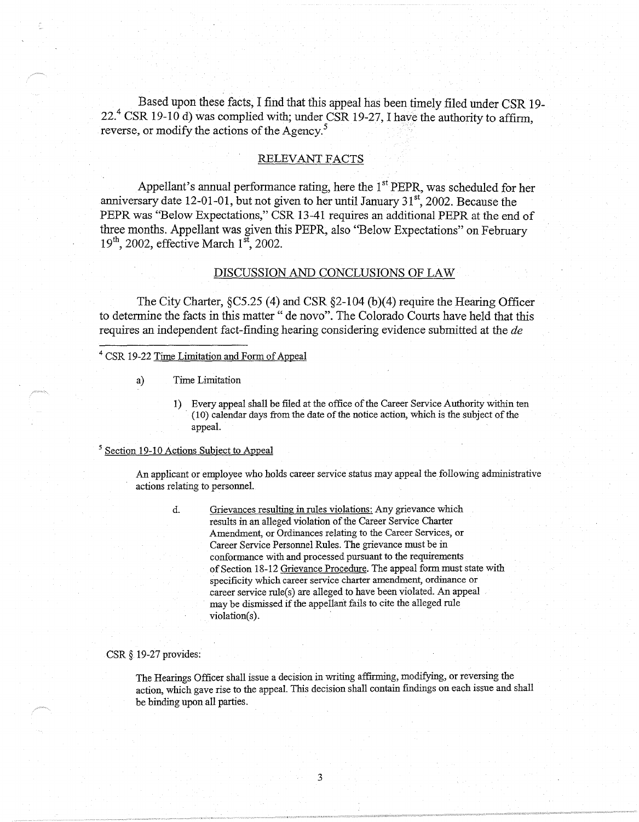Based upon these facts, I find that this appeal has been timely filed under CSR 19- 22. $4$  CSR 19-10 d) was complied with; under CSR 19-27, I have the authority to affirm, reverse, or modify the actions of the Agency.<sup>5</sup>

## RELEVANT FACTS

Appellant's annual performance rating, here the 1<sup>st</sup> PEPR, was scheduled for her anniversary date 12-01-01, but not given to her until January  $31<sup>st</sup>$ , 2002. Because the PEPR was ''Below Expectations," CSR 13-41 requires an additional PEPR at the end of three months. Appellant was given this PEPR, also ''Below Expectations" on February  $19<sup>th</sup>$ , 2002, effective March  $1<sup>st</sup>$ , 2002.

## DISCUSSION AND CONCLUSIONS OF LAW

The City Charter, §C5.25 (4) and CSR §2-104 (b)(4) require the Hearing Officer to determine the facts in this matter" de novo". The Colorado Courts have held that this requires an independent fact-finding hearing considering evidence submitted at the *de* 

# <sup>4</sup>CSR 19-22 Tirne Limitation and Form of Appeal

a) Time Limitation

1) Every appeal shall be filed at the office of the Career Service Authority within ten (10) calendar days from the date of the notice action, which is the subject of the appeal.

## <sup>5</sup> Section 19-10 Actions Subject to Appeal

An applicant or employee who holds career service status may appeal the following administrative actions relating to personnel.

d. Grievances resulting in rules violations: Any grievance which results in an alleged violation of the Career Service Charter Amendment, or Ordinances relating to the Career Services, or Career Service Personnel Rules. The grievance must be in conformance with and processed pursuant to the requirements of Section 18-12 Grievance Procedure. The appeal form must state with specificity which career service charter amendment, ordinance or career service rule(s) are alleged to have been violated. An appeal may be dismissed if the appeilarit fails to cite the alleged rule violation(s).

CSR§ 19-27 provides:

The Hearings Officer shall issue a decision in writing affirming, modifying, or reversing the action, which gave rise to the appeal. This decision shall contain findings on each issue and shall be binding upon all parties.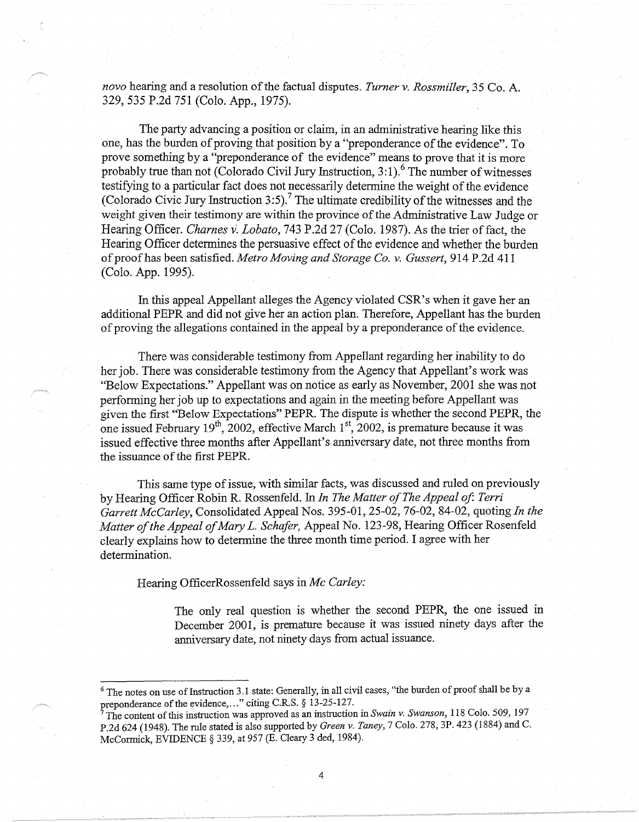*nova* hearing and a resolution of the factual disputes. *Turner v. Rossmiller,* 35 Co. A. 329, 535 P.2d 751 (Colo. App., 1975).

The party advancing a position or claim, in an administrative hearing like this one, has the burden of proving that position by a "preponderance of the evidence". To prove something by a "preponderance of the evidence" means to prove that it is more probably true than not (Colorado Civil Jury Instruction,  $3:1$ ).<sup>6</sup> The number of witnesses testifying to a particular fact does not necessarily determine the weight of the evidence (Colorado Civic Jury Instruction 3:5).<sup>7</sup> The ultimate credibility of the witnesses and the weight given their testimony are within the province of the Administrative Law Judge or Hearing Officer. *Charnes* v: *Lobato,* 743 P.2d 27 (Colo. 1987). As the trier of fact, the Hearing Officer determines the persuasive effect of the evidence and whether the burden of proof has been satisfied. *Metro Moving and Storage Co. v. Gussert,* 914 P.2d 411 (Colo. App. 1995).

In this appeal Appellant alleges the Agency violated CSR's when it gave her an additional PEPR and did not give her an action plan. Therefore, Appellant has the burden of proving the allegations contained in the appeal by a preponderance of the evidence.

There was considerable testimony from Appellant regarding her inability to do her job. There was considerable testimony from the Agency that Appellant's work was "Below Expectations." Appellant was on notice as early as November, 2001 she was not performing her job up to expectations and again in the meeting before Appellant was given the first "Below Expectations" PEPR. The dispute is whether the second PEPR, the one issued February 19<sup>th</sup>, 2002, effective March 1<sup>st</sup>, 2002, is premature because it was issued effective three months after Appellant's anniversary date, not three months from the issuance of the first PEPR.

This same type of issue, with similar facts, was discussed and ruled on previously by Hearing Officer Robin R. Rossenfeld. In *In The Matter of The Appeal of Terri Garrett McCarley,* Consolidated Appeal Nos. 395-01, 25-02, 76-02, 84-02, quoting *In the Matter of the Appeal of Mary L. Schafer,* Appeal No. 123-98, Hearing Officer Rosenfeld clearly explains how to determine the three month time period. I agree with her determination.

Hearing OfficerRossenfeld says in *Mc Carley:* 

The only real question is whether the second PEPR, the one issued in December 2001, is premature because it was issued ninety days after the anniversary date, not ninety days from actual issuance.

4

<sup>&</sup>lt;sup>6</sup> The notes on use of Instruction 3.1 state: Generally, in all civil cases, "the burden of proof shall be by a preponderance of the evidence,..." citing C.R.S. § 13-25-127.

<sup>7</sup>Toe content of this instruction was approved as an instruction in *Swain v. Swanson,* 118 Colo. 509, 197 P.2d 624 (1948). The rule stated is also supported by *Green v. Taney,* 7 Colo. 278, 3P. 423 (1884) and C. McCormick, EVIDENCE§ 339, at 957 (E. Cleary 3 ded, 1984).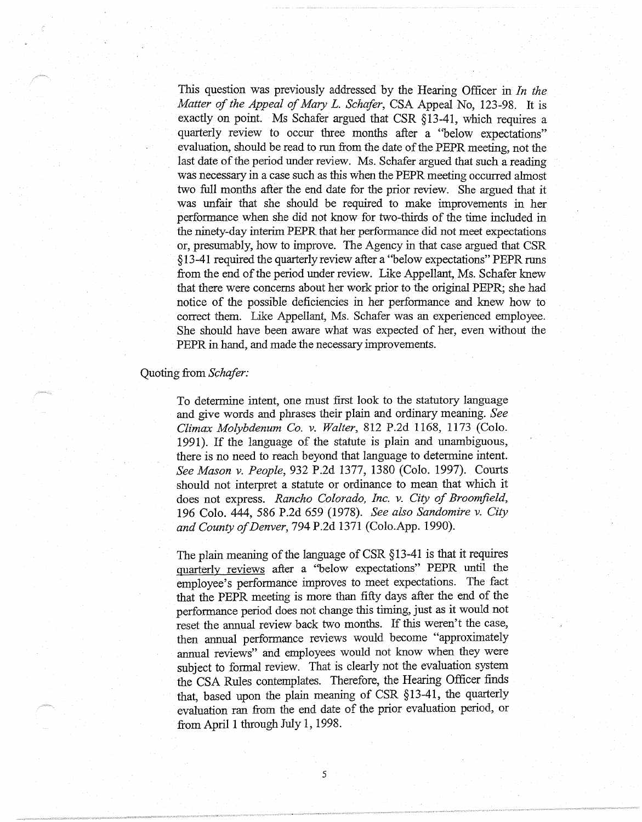This question was previously addressed by the Hearing Officer in *In the Matter of the Appeal of Mary L. Schafer,* CSA Appeal No, 123-98. It is exactly on point. Ms Schafer argued that CSR §13-41, which requires a quarterly review to occur three months after a "below expectations" evaluation, should be read to run from the date of the PEPR meeting, not the last date of the period under review. Ms. Schafer argued that such a reading was necessary in a case such as this when the PEPR meeting occurred almost two full months after the end date for the prior review. She argued that it was unfair that she should be required to make improvements in her performance when she did not know for two-thirds of the time included in the ninety-day interim PEPR that her performance did not meet expectations or, presumably, how to improve. The Agency in that case argued that CSR §13-41 required the quarterly review after a "below expectations" PEPRruns from the end of the period under review. Like Appellant, Ms. Schafer knew that there were concerns about her work prior to the original PEPR; she had notice of the possible deficiencies in her performance and knew how to correct them. Like Appellant, Ms. Schafer was an experienced employee. She should have been aware what was expected of her, even without the PEPR in hand, and made the necessary improvements.

#### Quoting from *Schafer*:

To determine intent, one must first look to the statutory language and give words and phrases their plain and ordinary meaning. *See Climax Molybdenum Co. v. Walter,* 812 P.2d 1168, 1173 (Colo. 1991). If the language of the statute is plain and unambiguous, there is no need to reach beyond that language to determine intent. *See Mason v. People,* 932 P.2d 1377, 1380 (Colo. 1997). Courts should not interpret a statute or ordinance to mean that which it does not express. *Rancho Colorado, Inc. v. City of Broomfield,*  196 Colo. 444, 586 P.2d 659 (1978). *See also Sandomire v. City and County of Denver,* 794 P.2d 1371 (Colo.App. 1990).

The plain meaning of the language of CSR §13-41 is that it requires quarterly reviews after a "below expectations" PEPR until the employee's performance improves to meet expectations. The fact that the PEPR meeting is more than fifty days after the end of the performance period does not change this timing, just as it would not reset the annual review back two months. If this weren't the case, then annual performance reviews would become "approximately annual reviews" and employees would not know when they were subject to formal review. That is clearly not the evaluation system the CSA Rules contemplates. Therefore, the Hearing Officer finds that, based upon the plain meaning of CSR §13-41, the quarterly evaluation ran from the end date of the prior evaluation period, or from April I through July 1, 1998.